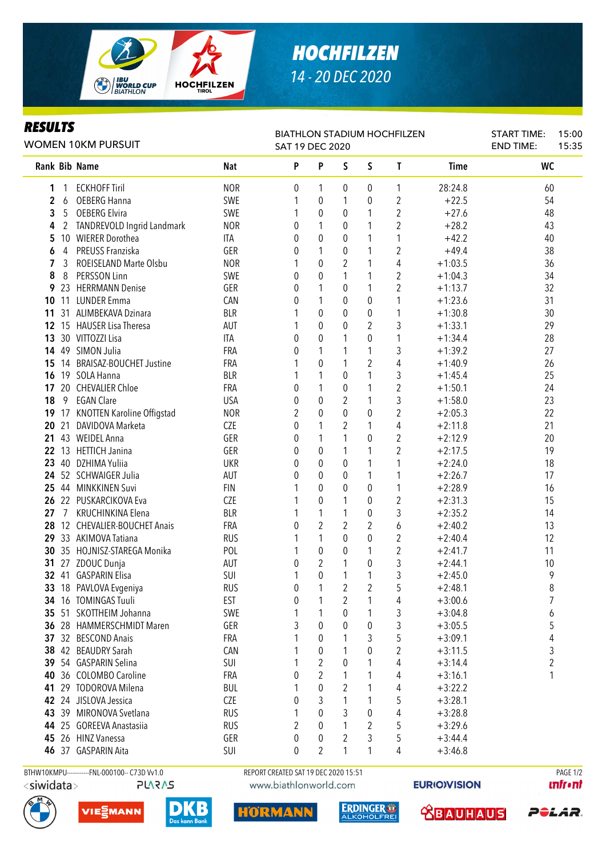

## *HOCHFILZEN 14 - 20 DEC 2020*

## *RESULTS*

| rljvlij<br><b>WOMEN 10KM PURSUIT</b> |                |                                               |                                      | <b>BIATHLON STADIUM HOCHFILZEN</b><br>SAT 19 DEC 2020 |                  | <b>START TIME:</b><br><b>END TIME:</b> | 15:00<br>15:35   |                |             |           |                 |
|--------------------------------------|----------------|-----------------------------------------------|--------------------------------------|-------------------------------------------------------|------------------|----------------------------------------|------------------|----------------|-------------|-----------|-----------------|
|                                      |                | <b>Rank Bib Name</b>                          | <b>Nat</b>                           | P                                                     | P                | S                                      | S                | $\mathbf{I}$   | <b>Time</b> | <b>WC</b> |                 |
| 1                                    | -1             | <b>ECKHOFF Tiril</b>                          | <b>NOR</b>                           | 0                                                     | 1                | 0                                      | 0                | 1              | 28:24.8     | 60        |                 |
| 2                                    | 6              | <b>OEBERG Hanna</b>                           | SWE                                  | 1                                                     | $\boldsymbol{0}$ | 1                                      | 0                | 2              | $+22.5$     | 54        |                 |
| 3                                    | 5              | <b>OEBERG Elvira</b>                          | SWE                                  | 1                                                     | $\pmb{0}$        | 0                                      | $\mathbf{1}$     | $\overline{c}$ | $+27.6$     | 48        |                 |
| 4                                    | $\overline{2}$ | TANDREVOLD Ingrid Landmark                    | <b>NOR</b>                           | 0                                                     | 1                | 0                                      | $\mathbf{1}$     | 2              | $+28.2$     | 43        |                 |
| 5                                    |                | 10 WIERER Dorothea                            | ITA                                  | 0                                                     | $\pmb{0}$        | 0                                      | 1                | 1              | $+42.2$     | 40        |                 |
| 6                                    | 4              | PREUSS Franziska                              | GER                                  | 0                                                     | 1                | 0                                      | 1                | 2              | $+49.4$     | 38        |                 |
| 7                                    | 3              | ROEISELAND Marte Olsbu                        | <b>NOR</b>                           |                                                       | $\boldsymbol{0}$ | $\sqrt{2}$                             | 1                | 4              | $+1:03.5$   | 36        |                 |
| 8                                    | 8              | PERSSON Linn                                  | SWE                                  | 0                                                     | $\pmb{0}$        | 1                                      | 1                | $\overline{2}$ | $+1:04.3$   | 34        |                 |
| 9                                    |                | 23 HERRMANN Denise                            | GER                                  | 0                                                     | 1                | $\pmb{0}$                              | 1                | $\overline{2}$ | $+1:13.7$   | 32        |                 |
| 10                                   | 11             | <b>LUNDER Emma</b>                            | CAN                                  | 0                                                     | 1                | 0                                      | 0                | 1              | $+1:23.6$   | 31        |                 |
| 11                                   |                | 31 ALIMBEKAVA Dzinara                         | <b>BLR</b>                           |                                                       | $\mathbf 0$      | 0                                      | $\pmb{0}$        | 1              | $+1:30.8$   | 30        |                 |
| 12                                   |                | 15 HAUSER Lisa Theresa                        | AUT                                  |                                                       | $\mathbf 0$      | $\theta$                               | $\overline{2}$   | 3              | $+1:33.1$   | 29        |                 |
| 13                                   |                | 30 VITTOZZI Lisa                              | ITA                                  | 0                                                     | $\theta$         | 1                                      | 0                | 1              | $+1:34.4$   | 28        |                 |
| 14                                   |                | 49 SIMON Julia                                | FRA                                  | 0                                                     | 1                | 1                                      | $\mathbf{1}$     | 3              | $+1:39.2$   | 27        |                 |
| 15                                   |                | 14 BRAISAZ-BOUCHET Justine                    | <b>FRA</b>                           | 1                                                     | $\mathbf 0$      | 1                                      | $\overline{2}$   | 4              | $+1:40.9$   | 26        |                 |
| 16                                   |                | 19 SOLA Hanna                                 | <b>BLR</b>                           |                                                       | 1                | 0                                      | 1                | 3              | $+1:45.4$   | 25        |                 |
| 17                                   |                | 20 CHEVALIER Chloe                            | <b>FRA</b>                           | 0                                                     | 1                | 0                                      | 1                | $\overline{2}$ | $+1:50.1$   | 24        |                 |
| 18                                   | 9              | <b>EGAN Clare</b>                             | <b>USA</b>                           | 0                                                     | 0                | 2                                      | 1                | 3              | $+1:58.0$   | 23        |                 |
| 19                                   |                | 17 KNOTTEN Karoline Offigstad                 | <b>NOR</b>                           | 2                                                     | 0                | $\theta$                               | 0                | 2              | $+2:05.3$   | 22        |                 |
| 20                                   | 21             | DAVIDOVA Marketa                              | CZE                                  | 0                                                     | 1                | 2                                      | 1                | 4              | $+2:11.8$   | 21        |                 |
| 21                                   |                | 43 WEIDEL Anna                                | GER                                  | 0                                                     | 1                | 1                                      | 0                | 2              | $+2:12.9$   | 20        |                 |
| 22                                   |                | 13 HETTICH Janina                             | GER                                  | 0                                                     | 0                | 1                                      | 1                | $\overline{c}$ | $+2:17.5$   | 19        |                 |
| 23                                   |                | 40 DZHIMA Yuliia                              | <b>UKR</b>                           | 0                                                     | 0                | 0                                      | 1                | 1              | $+2:24.0$   | 18        |                 |
| 24                                   |                | 52 SCHWAIGER Julia                            | AUT                                  | 0                                                     | 0                | 0                                      | 1                | 1              | $+2:26.7$   | 17        |                 |
| 25                                   |                | 44 MINKKINEN Suvi                             | <b>FIN</b>                           | 1                                                     | $\mathbf 0$      | 0                                      | 0                | 1              | $+2:28.9$   | 16        |                 |
| 26                                   |                | 22 PUSKARCIKOVA Eva                           | <b>CZE</b>                           | 1                                                     | $\pmb{0}$        | 1                                      | $\pmb{0}$        | $\overline{2}$ | $+2:31.3$   | 15        |                 |
| 27                                   | $\overline{7}$ | KRUCHINKINA Elena                             | <b>BLR</b>                           | 1                                                     | 1                | 1                                      | $\boldsymbol{0}$ | 3              | $+2:35.2$   | 14        |                 |
| 28                                   |                | 12 CHEVALIER-BOUCHET Anais                    | <b>FRA</b>                           | 0                                                     | $\overline{2}$   | $\overline{2}$                         | $\overline{2}$   | 6              | $+2:40.2$   | 13        |                 |
| 29                                   |                | 33 AKIMOVA Tatiana                            | <b>RUS</b>                           |                                                       | 1                | 0                                      | $\pmb{0}$        | $\overline{2}$ | $+2:40.4$   | 12        |                 |
| 30                                   |                | 35 HOJNISZ-STAREGA Monika                     | POL                                  |                                                       | $\boldsymbol{0}$ | 0                                      | 1                | $\overline{2}$ | $+2:41.7$   | 11        |                 |
| 31                                   |                | 27 ZDOUC Dunja                                | AUT                                  | 0                                                     | $\overline{2}$   | 1                                      | $\mathbf 0$      | 3              | $+2:44.1$   | 10        |                 |
|                                      |                | 32 41 GASPARIN Elisa                          | SUI                                  | 1                                                     | $\mathbf 0$      | 1                                      | $\mathbf{1}$     | 3              | $+2:45.0$   | 9         |                 |
|                                      |                | 33 18 PAVLOVA Evgeniya                        | <b>RUS</b>                           | 0                                                     |                  | $\overline{2}$                         | $\sqrt{2}$       | 5              | $+2:48.1$   | 8         |                 |
|                                      |                | 34 16 TOMINGAS Tuuli                          | <b>EST</b>                           | 0                                                     |                  | 2                                      | 1                | 4              | $+3:00.6$   | 7         |                 |
|                                      |                | 35 51 SKOTTHEIM Johanna                       | SWE                                  |                                                       | 1                | 0                                      | 1                | 3              | $+3:04.8$   | 6         |                 |
|                                      |                | 36 28 HAMMERSCHMIDT Maren                     | GER                                  | 3                                                     | 0                | $\theta$                               | 0                | 3              | $+3:05.5$   | 5         |                 |
|                                      |                | 37 32 BESCOND Anais                           | FRA                                  |                                                       | 0                | 1                                      | 3                | 5              | $+3:09.1$   | 4         |                 |
|                                      |                | 38 42 BEAUDRY Sarah                           | <b>CAN</b>                           |                                                       | 0                |                                        | 0                | 2              | $+3:11.5$   | 3         |                 |
|                                      |                | 39 54 GASPARIN Selina                         | SUI                                  |                                                       | 2                | $\theta$                               | 1                | 4              | $+3:14.4$   | 2         |                 |
| 40                                   |                | 36 COLOMBO Caroline                           | <b>FRA</b>                           | 0                                                     | $\overline{2}$   |                                        |                  | 4              | $+3:16.1$   |           |                 |
| 41                                   |                | 29 TODOROVA Milena                            | <b>BUL</b>                           |                                                       | 0                | 2                                      | 1                | 4              | $+3:22.2$   |           |                 |
|                                      |                | 42 24 JISLOVA Jessica                         | CZE                                  | 0                                                     | 3                | 1                                      | 1                | 5              | $+3:28.1$   |           |                 |
|                                      |                | 43 39 MIRONOVA Svetlana                       | <b>RUS</b>                           | 1                                                     | 0                | 3                                      | 0                | 4              | $+3:28.8$   |           |                 |
|                                      |                | 44 25 GOREEVA Anastasiia                      | <b>RUS</b>                           | 2                                                     | 0                | 1                                      | 2                | 5              | $+3:29.6$   |           |                 |
| 45                                   |                | 26 HINZ Vanessa                               | GER                                  | 0                                                     | 0                | 2                                      | 3                | 5              | $+3:44.4$   |           |                 |
|                                      |                | 46 37 GASPARIN Aita                           | SUI                                  | 0                                                     | 2                | 1                                      | $\mathbf{1}$     | 4              | $+3:46.8$   |           |                 |
|                                      |                | BTHW10KMPU------------FNL-000100-- C73D Vv1.0 | REPORT CREATED SAT 19 DEC 2020 15:51 |                                                       |                  |                                        |                  |                |             |           | <b>PAGE 1/2</b> |

<siwidata>

**PLARAS** 









www.biathlonworld.com





*<u><u>Infront</u>*</u>

POLAR.